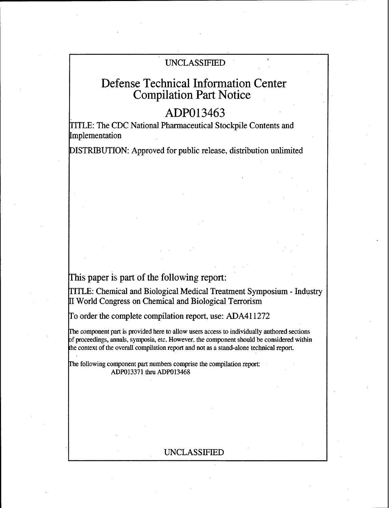### UNCLASSIFIED

# Defense Technical Information Center Compilation Part Notice

## ADP013463

TITLE: The CDC National Pharmaceutical Stockpile Contents and Implementation

DISTRIBUTION: Approved for public release, distribution unlimited

### This paper is part of the following report:

TITLE: Chemical and Biological Medical Treatment Symposium - Industry World Congress on Chemical and Biological Terrorism

To order the complete compilation report, use: ADA411272

The component part is provided here to allow users access to individually authored sections of proceedings, annals, symposia, etc. However, the component should be considered within the context of the overall compilation report and not as a stand-alone technical report.

The following component part numbers comprise the compilation report: ADP013371 thru ADP013468

#### UNCLASSIFIED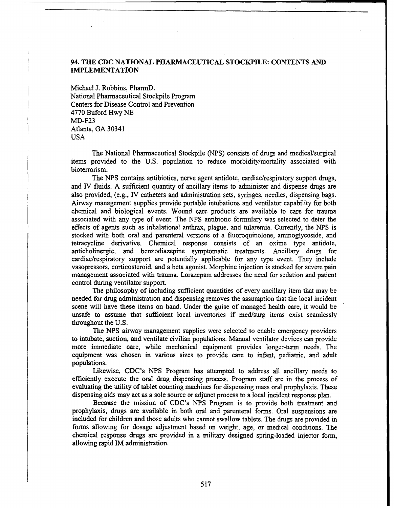#### 94. **THE CDC NATIONAL PHARMACEUTICAL STOCKPILE: CONTENTS AND IMPLEMENTATION**

Michael J. Robbins, PharmD. National Pharmaceutical Stockpile Program Centers for Disease Control and Prevention 4770 Buford Hwy NE MD-F23 Atlanta, GA 30341 USA

The National Pharmaceutical Stockpile (NPS) consists of drugs and medical/surgical items provided to the U.S. population to reduce morbidity/mortality associated with bioterrorism.

The **NPS** contains antibiotics, nerve agent antidote, cardiac/respiratory support drugs, and IV fluids. A sufficient quantity of ancillary items to administer and dispense drugs are also provided, (e.g., IV catheters and administration sets, syringes, needles, dispensing bags. Airway management supplies provide portable intubations and ventilator capability for both chemical and biological events. Wound care products are available to care for trauma associated with any type of event. The NPS antibiotic formulary was selected to deter the effects of agents such as inhalational anthrax, plague, and tularemia. Currently, the **NPS** is stocked with both oral and parenteral versions of a fluoroquinolone, aminoglycoside, and tetracycline derivative. Chemical response consists of an oxime type antidote, anticholinergic, and benzodiazepine symptomatic treatments. Ancillary drugs for cardiac/respiratory support are potentially applicable for any type event. They include vasopressors, corticosteroid, and a beta agonist. Morphine injection is stocked for severe pain management associated with trauma. Lorazepam addresses the need for sedation and patient control during ventilator support.

The philosophy of including sufficient quantities of every ancillary item that may be needed for drug administration and dispensing removes the assumption that the local incident scene will have these items on hand. Under the guise of managed health care, it would be unsafe to assume that sufficient local inventories if med/surg items exist seamlessly throughout the U.S.

The NPS airway management supplies were selected to enable emergency providers to intubate, suction, and ventilate civilian populations. Manual ventilator devices can provide more immediate care, while mechanical equipment provides longer-term needs. The equipment was chosen in various sizes to provide care to infant, pediatric, and adult populations.

Likewise, CDC's NPS Program has attempted to address all ancillary needs to efficiently execute the oral drug dispensing process. Program staff are in the process of evaluating the utility of tablet counting machines for dispensing mass oral prophylaxis. These dispensing aids may act as a sole source or adjunct process to a local incident response plan.

Because the mission of CDC's **NPS** Program is to provide both treatment and prophylaxis, drugs are available in both oral and parenteral forms. Oral suspensions are included for children and those adults who cannot swallow tablets. The drugs are provided in forms allowing for dosage adjustment based on weight, age, or medical conditions. The chemical response drugs are provided in a military designed spring-loaded injector form, allowing rapid IM administration.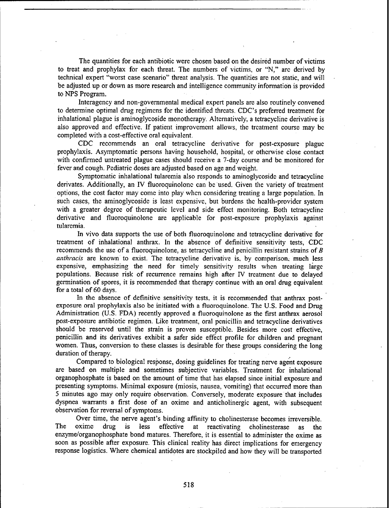The quantities for each antibiotic were chosen based on the desired number of victims to treat and prophylax for each threat. The numbers of victims, or "N," arc derived by technical expert "worst case scenario" threat analysis. The quantities are not static, and will be adjusted up or down as more research and intelligence community information is provided to NPS Program.

Interagency and non-governmental medical expert panels are also routinely convened to determine optimal drug regimens for the identified threats. CDC's preferred treatment for inhalational plague is aminoglycoside monotherapy. Alternatively, a tetracycline derivative is also approved and effective. If patient improvement allows, the treatment course may be completed with a cost-effective oral equivalent.

CDC recommends an oral tetracycline derivative for post-cxposurc plague prophylaxis. Asymptomatic persons having household, hospital, or otherwise close contact with confirmed untreated plague cases should receive a 7-day course and be monitored for fever and cough. Pediatric doses are adjusted based on age and weight.

Symptomatic inhalational tularemia also responds to aminoglycoside and tetracycline derivates. Additionally, an IV fluoroquinolone can be used. Given the variety of treatment options, the cost factor may come into play when considering treating a large population. In such cases, the aminoglycoside is least expensive, but burdens the health-provider system with a greater degree of therapeutic level and side effect monitoring. Both tetracycline derivative and fluoroquinolone are applicable for post-exposure prophylaxis against tularemia.

In vivo data supports the use of both fluoroquinolone and tetracycline derivative for treatment of inhalational anthrax. In the absence of definitive sensitivity tests, **CDC** recommends the use of a fluoroquinolone, as tetracycline and penicillin resistant strains of *B anthracis* are known to exist. The tetracycline derivative is, by comparison, much less expensive, emphasizing the need for timely sensitivity results when treating large populations. Because risk of recurrence remains high after IV treatment due to delayed germination of spores, it is recommended that therapy continue with an oral drug equivalent for a total of 60 days.

In the absence of definitive sensitivity tests, it is recommended that anthrax postexposure oral prophylaxis also be initiated with a fluoroquinolone. The U.S. Food and Drug Administration (U.S. FDA) recently approved a fluoroquinolone as the first anthrax aerosol post-exposure antibiotic regimen. Like treatment, oral penicillin and tetracycline derivatives should be reserved until the strain is proven susceptible. Besides more cost effective, penicillin and its derivatives exhibit a safer side effect profile for children and pregnant women. Thus, conversion to these classes is desirable for these groups considering the long duration of therapy.

Compared to biological response, dosing guidelines for treating nerve agent exposure are based on multiple and sometimes subjective variables. Treatment for inhalational organophosphate is based on the amount of time that has elapsed since initial exposure and presenting symptoms. Minimal exposure (miosis, nausea, vomiting) that occurred more than 5 minutes ago may only require observation. Conversely, moderate exposure that includes dyspnea warrants a first dose of an oxime and anticholinergic agent, with subsequent observation for reversal of symptoms.

Over time, the nerve agent's binding affinity to cholinesterase becomes irreversible. The oxime drug is less effective at reactivating cholinesterase as the enzyme/organophosphate bond matures. Therefore, it is essential to administer the oxime as soon as possible after exposure. This clinical reality has direct implications for emergency response logistics. Where chemical antidotes are stockpiled and how they will be transported